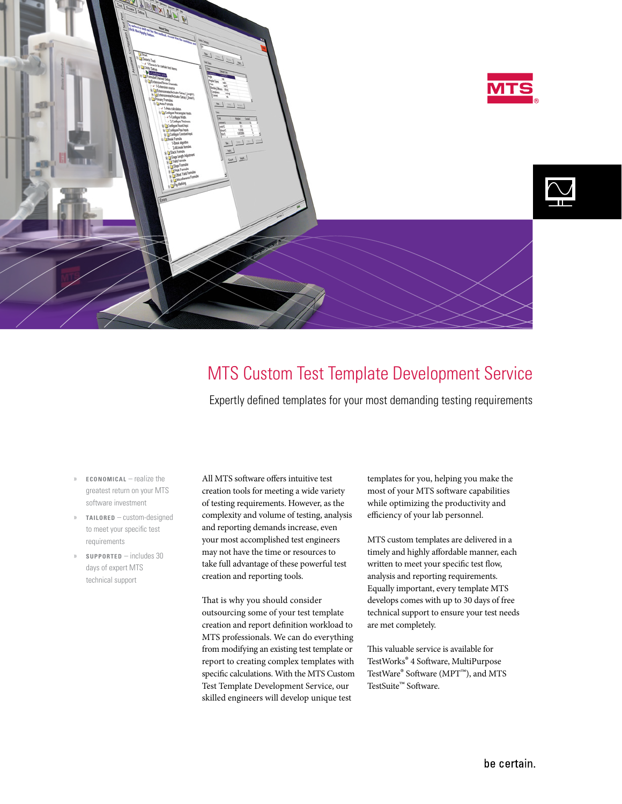

# MTS Custom Test Template Development Service

Expertly defined templates for your most demanding testing requirements

- » **ECONOMICAL** realize the greatest return on your MTS software investment
- » **TAILORED** custom-designed to meet your specific test requirements
- » **SUPPORTED** includes 30 days of expert MTS technical support

All MTS software offers intuitive test creation tools for meeting a wide variety of testing requirements. However, as the complexity and volume of testing, analysis and reporting demands increase, even your most accomplished test engineers may not have the time or resources to take full advantage of these powerful test creation and reporting tools.

That is why you should consider outsourcing some of your test template creation and report definition workload to MTS professionals. We can do everything from modifying an existing test template or report to creating complex templates with specific calculations. With the MTS Custom Test Template Development Service, our skilled engineers will develop unique test

templates for you, helping you make the most of your MTS software capabilities while optimizing the productivity and efficiency of your lab personnel.

MTS custom templates are delivered in a timely and highly affordable manner, each written to meet your specific test flow, analysis and reporting requirements. Equally important, every template MTS develops comes with up to 30 days of free technical support to ensure your test needs are met completely.

This valuable service is available for TestWorks® 4 Software, MultiPurpose TestWare® Software (MPT™), and MTS TestSuite™ Software.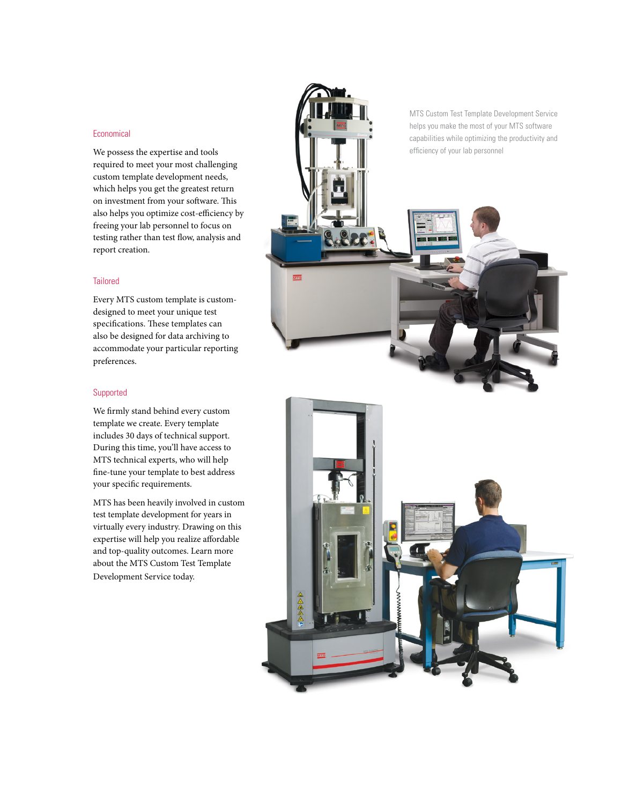## Economical

We possess the expertise and tools required to meet your most challenging custom template development needs, which helps you get the greatest return on investment from your software. This also helps you optimize cost-efficiency by freeing your lab personnel to focus on testing rather than test flow, analysis and report creation.

### **Tailored**

Every MTS custom template is customdesigned to meet your unique test specifications. These templates can also be designed for data archiving to accommodate your particular reporting preferences.

# Supported

We firmly stand behind every custom template we create. Every template includes 30 days of technical support. During this time, you'll have access to MTS technical experts, who will help fine-tune your template to best address your specific requirements.

MTS has been heavily involved in custom test template development for years in virtually every industry. Drawing on this expertise will help you realize affordable and top-quality outcomes. Learn more about the MTS Custom Test Template Development Service today.

MTS Custom Test Template Development Service helps you make the most of your MTS software capabilities while optimizing the productivity and efficiency of your lab personnel

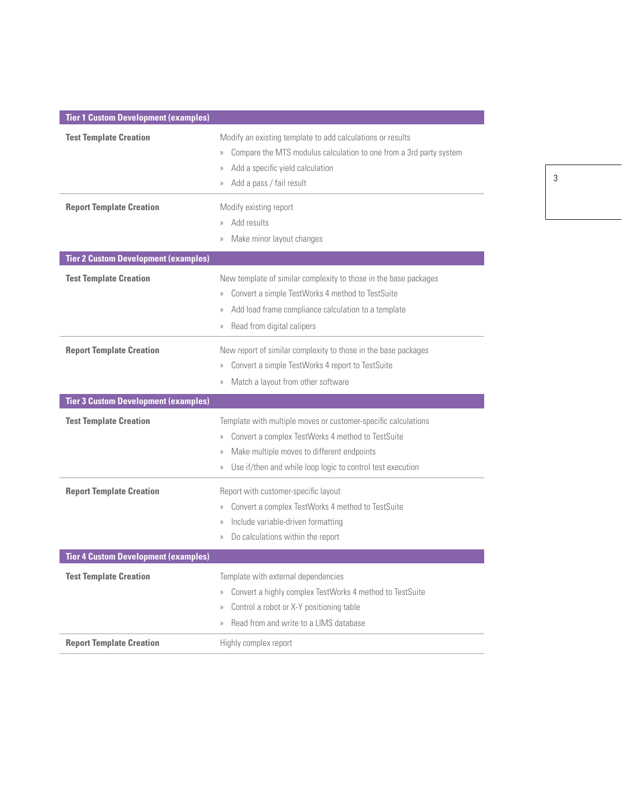| <b>Tier 1 Custom Development (examples)</b> |                                                                                                                                                                                                                                                                                      |
|---------------------------------------------|--------------------------------------------------------------------------------------------------------------------------------------------------------------------------------------------------------------------------------------------------------------------------------------|
| <b>Test Template Creation</b>               | Modify an existing template to add calculations or results<br>Compare the MTS modulus calculation to one from a 3rd party system<br>$\rangle\rangle$<br>Add a specific yield calculation<br>$\rangle$<br>Add a pass / fail result<br>$\rangle$                                       |
| <b>Report Template Creation</b>             | Modify existing report<br>Add results<br>$\rangle$<br>Make minor layout changes<br>$\rangle\rangle$                                                                                                                                                                                  |
| <b>Tier 2 Custom Development (examples)</b> |                                                                                                                                                                                                                                                                                      |
| <b>Test Template Creation</b>               | New template of similar complexity to those in the base packages<br>Convert a simple TestWorks 4 method to TestSuite<br>$\rangle\rangle$<br>Add load frame compliance calculation to a template<br>$\rangle\rangle$<br>Read from digital calipers<br>$\rangle\rangle$                |
| <b>Report Template Creation</b>             | New report of similar complexity to those in the base packages<br>Convert a simple TestWorks 4 report to TestSuite<br>$\rangle$<br>Match a layout from other software<br>$\rangle\rangle$                                                                                            |
| <b>Tier 3 Custom Development (examples)</b> |                                                                                                                                                                                                                                                                                      |
| <b>Test Template Creation</b>               | Template with multiple moves or customer-specific calculations<br>Convert a complex TestWorks 4 method to TestSuite<br>$\rangle\rangle$<br>Make multiple moves to different endpoints<br>$\rangle$<br>Use if/then and while loop logic to control test execution<br>$\rangle\rangle$ |
| <b>Report Template Creation</b>             | Report with customer-specific layout<br>Convert a complex TestWorks 4 method to TestSuite<br>$\rangle\rangle$<br>Include variable-driven formatting<br>$\rangle$<br>Do calculations within the report<br>$\rangle\rangle$                                                            |
| <b>Tier 4 Custom Development (examples)</b> |                                                                                                                                                                                                                                                                                      |
| <b>Test Template Creation</b>               | Template with external dependencies<br>Convert a highly complex TestWorks 4 method to TestSuite<br>$\rangle\rangle$<br>Control a robot or X-Y positioning table<br>$\rangle\rangle$<br>Read from and write to a LIMS database<br>$\rangle\rangle$                                    |
| <b>Report Template Creation</b>             | Highly complex report                                                                                                                                                                                                                                                                |

3